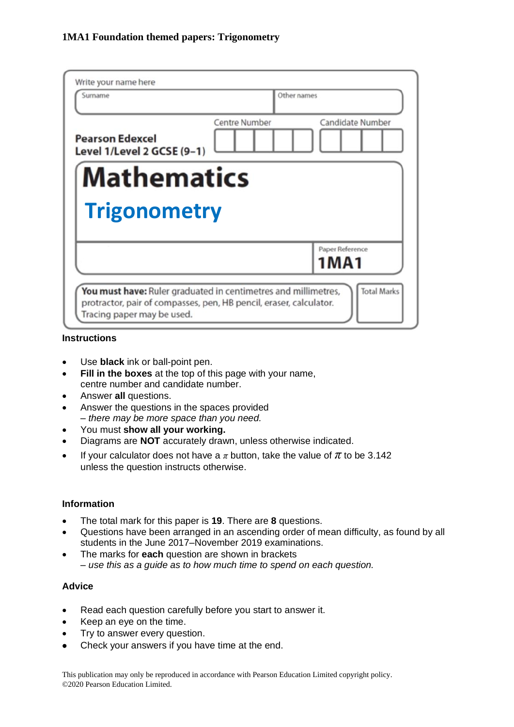| Write your name here<br>Surname                      |               | Other names      |
|------------------------------------------------------|---------------|------------------|
| <b>Pearson Edexcel</b><br>Level 1/Level 2 GCSE (9-1) | Centre Number | Candidate Number |
| <b>Mathematics</b>                                   |               |                  |
|                                                      |               |                  |
| <b>Trigonometry</b>                                  |               |                  |
|                                                      |               | Paper Reference  |
|                                                      |               | 1 M A 1          |

#### **Instructions**

- Use **black** ink or ball-point pen.
- **Fill in the boxes** at the top of this page with your name, centre number and candidate number.
- Answer **all** questions.
- Answer the questions in the spaces provided *– there may be more space than you need.*
- You must **show all your working.**
- Diagrams are **NOT** accurately drawn, unless otherwise indicated.
- If your calculator does not have a  $\pi$  button, take the value of  $\pi$  to be 3.142 unless the question instructs otherwise.

#### **Information**

- The total mark for this paper is **19**. There are **8** questions.
- Questions have been arranged in an ascending order of mean difficulty, as found by all students in the June 2017–November 2019 examinations.
- The marks for **each** question are shown in brackets *– use this as a guide as to how much time to spend on each question.*

#### **Advice**

- Read each question carefully before you start to answer it.
- Keep an eye on the time.
- Try to answer every question.
- Check your answers if you have time at the end.

This publication may only be reproduced in accordance with Pearson Education Limited copyright policy. ©2020 Pearson Education Limited.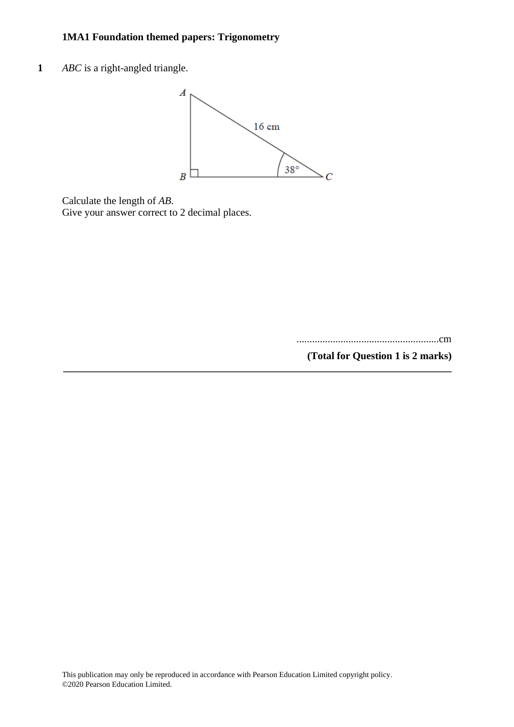**1** *ABC* is a right-angled triangle.



**\_\_\_\_\_\_\_\_\_\_\_\_\_\_\_\_\_\_\_\_\_\_\_\_\_\_\_\_\_\_\_\_\_\_\_\_\_\_\_\_\_\_\_\_\_\_\_\_\_\_\_\_\_\_\_\_\_\_\_\_\_\_\_\_\_\_\_\_\_\_\_\_\_\_\_**

Calculate the length of *AB*. Give your answer correct to 2 decimal places.

.......................................................cm

**(Total for Question 1 is 2 marks)**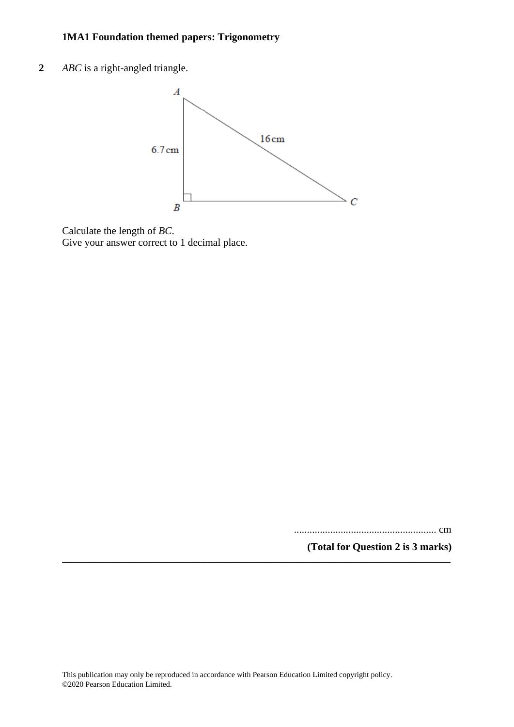**2** *ABC* is a right-angled triangle.



Calculate the length of *BC*. Give your answer correct to 1 decimal place.

....................................................... cm

**(Total for Question 2 is 3 marks)**

**\_\_\_\_\_\_\_\_\_\_\_\_\_\_\_\_\_\_\_\_\_\_\_\_\_\_\_\_\_\_\_\_\_\_\_\_\_\_\_\_\_\_\_\_\_\_\_\_\_\_\_\_\_\_\_\_\_\_\_\_\_\_\_\_\_\_\_\_\_\_\_\_\_\_\_**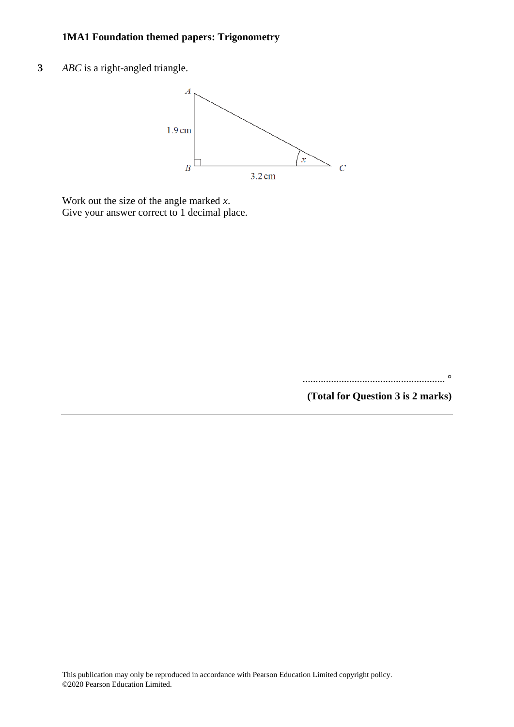**3** *ABC* is a right-angled triangle.



Work out the size of the angle marked *x*. Give your answer correct to 1 decimal place.

....................................................... °

**(Total for Question 3 is 2 marks)**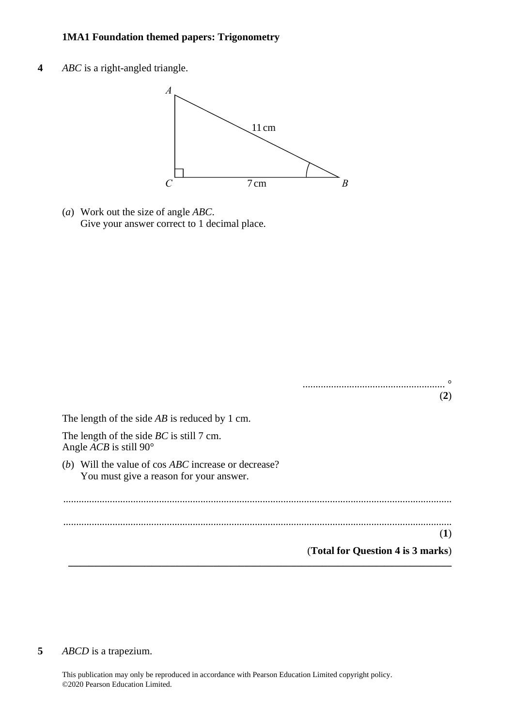**4** *ABC* is a right-angled triangle. **23** *ABC* is <sup>a</sup> right-angled triangle.



(*a*) Work out the size of angle *ABC*. (a) Work out the size of angle *ABC*. Give your answer correct to 1 decimal place. Give your answer correct to 1 decimal place.

|                                                                                                                   | $\left( 2\right)$ |
|-------------------------------------------------------------------------------------------------------------------|-------------------|
| The length of the side $AB$ is reduced by 1 cm.                                                                   |                   |
| The length of the side $BC$ is still 7 cm.<br>Angle <i>ACB</i> is still 90 $^{\circ}$                             |                   |
| Will the value of cos <i>ABC</i> increase or decrease?<br>( <i>b</i> )<br>You must give a reason for your answer. |                   |
|                                                                                                                   |                   |
|                                                                                                                   | $\bf{l}$          |

**\_\_\_\_\_\_\_\_\_\_\_\_\_\_\_\_\_\_\_\_\_\_\_\_\_\_\_\_\_\_\_\_\_\_\_\_\_\_\_\_\_\_\_\_\_\_\_\_\_\_\_\_\_\_\_\_\_\_\_\_\_\_\_\_\_\_\_\_\_\_\_\_\_\_**

**(1)**

#### **5** *ABCD* is a trapezium.

This publication may only be reproduced in accordance with Pearson Education Limited copyright policy. ©2020 Pearson Education Limited.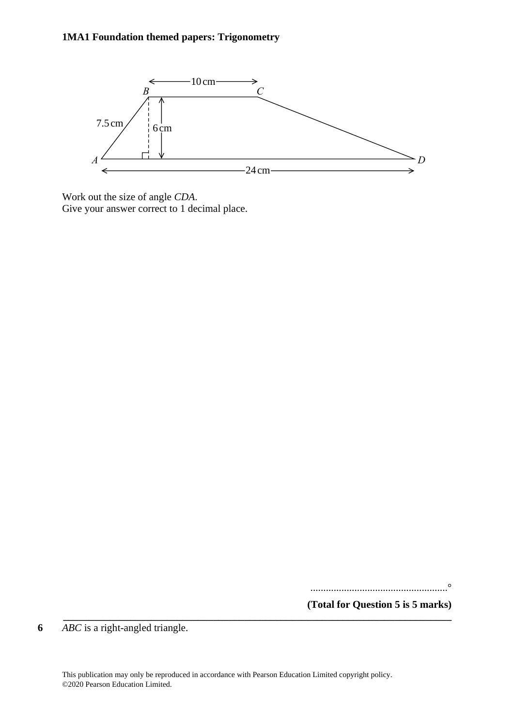

Work out the size of angle *CDA*. Work out the size of angle *CDA*. Give your answer correct to 1 decimal place. Give your answer correct to 1 decimal place.

.....................................................°

**(Total for Question 5 is 5 marks)**

**6** *ABC* is a right-angled triangle.

**\_\_\_\_\_\_\_\_\_\_\_\_\_\_\_\_\_\_\_\_\_\_\_\_\_\_\_\_\_\_\_\_\_\_\_\_\_\_\_\_\_\_\_\_\_\_\_\_\_\_\_\_\_\_\_\_\_\_\_\_\_\_\_\_\_\_\_\_\_\_\_\_\_\_\_**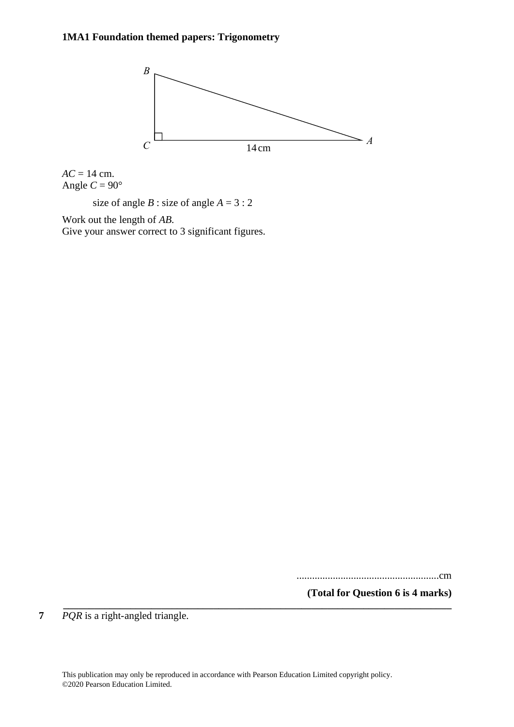

 $AC = 14$  cm. Angle  $C = 90^\circ$ 

size of angle  $B$  : size of angle  $A = 3:2$ 

Work out the length of *AB*.

Give your answer correct to 3 significant figures.

.......................................................cm

**(Total for Question 6 is 4 marks) \_\_\_\_\_\_\_\_\_\_\_\_\_\_\_\_\_\_\_\_\_\_\_\_\_\_\_\_\_\_\_\_\_\_\_\_\_\_\_\_\_\_\_\_\_\_\_\_\_\_\_\_\_\_\_\_\_\_\_\_\_\_\_\_\_\_\_\_\_\_\_\_\_\_\_**

**7** *PQR* is a right-angled triangle.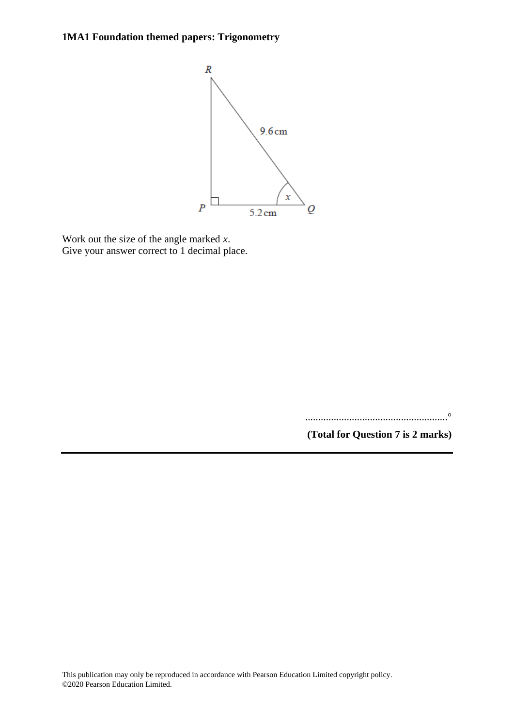

Work out the size of the angle marked *x*. Give your answer correct to 1 decimal place.

.......................................................°

**(Total for Question 7 is 2 marks)**